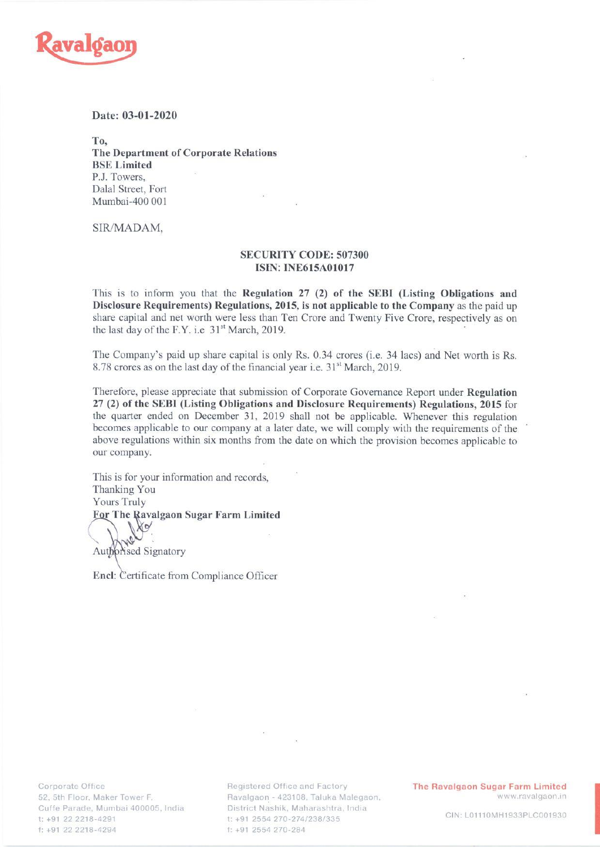

## Date: 03-01-2020

To, The Department of Corporate Relations BSE Limited P.J. Towers, Dalal Street, Fort Mumbai-400 001

SIR/MADAM,

## SECURITY CODE: 507300 ISIN: INE615A01017

This is to inform you that the Regulation 27 (2) of the SEBI (Listing Obligations and Disclosure Requirements) Regulations, 2015, is not applicable to the Company as the paid up share capital and net worth were less than Ten Crore and Twenty Five Crore, respectively as on the last day of the F.Y. i.e 31<sup>st</sup> March, 2019.

The Company's paid up share capital is only Rs. 0.34 crores (i.e. 34 lacs) and Net worth is Rs. 8.78 crores as on the last day of the financial year i.e. 31°" March, 2019.

Therefore, please appreciate that submission of Corporate Governance Report under Regulation 27 (2) of the SEBI (Listing Obligations and Disclosure Requirements) Regulations, 2015 for the quarter ended on December 31, 2019 shall not be applicable. Whenever this regulation becomes applicable to our company at a later date, we will comply with the requirements of the \* above regulations within six months from the date on which the provision becomes applicable to our company.

This is for your information and records, Thanking You Yours Truly For The Ravalgaon Sugar Farm Limited W∾ Authorised Signatory

Encl: Certificate from Compliance Officer

-429<br>-429<br>-Corporate Office<br>52, 5th Floor, Maker Tower F, 52, 5th<br>Cuffe P<br>t: +91 2<br>f: +91 2 Mumbai 400005, India t: +91 22 2218-4291 4294

District Nashik, Maharashtra, India t: +91 2554 270-274/238/335 f: +91 2554 270-284

Registered Office and Factory **The Ravalgaon Sugar Farm Limited** Ravalgaon - 423108, Taluka Malegaon, Santa Care and Maker a Www.ravalgaon.in

CIN: L01110MH1933PLC001930